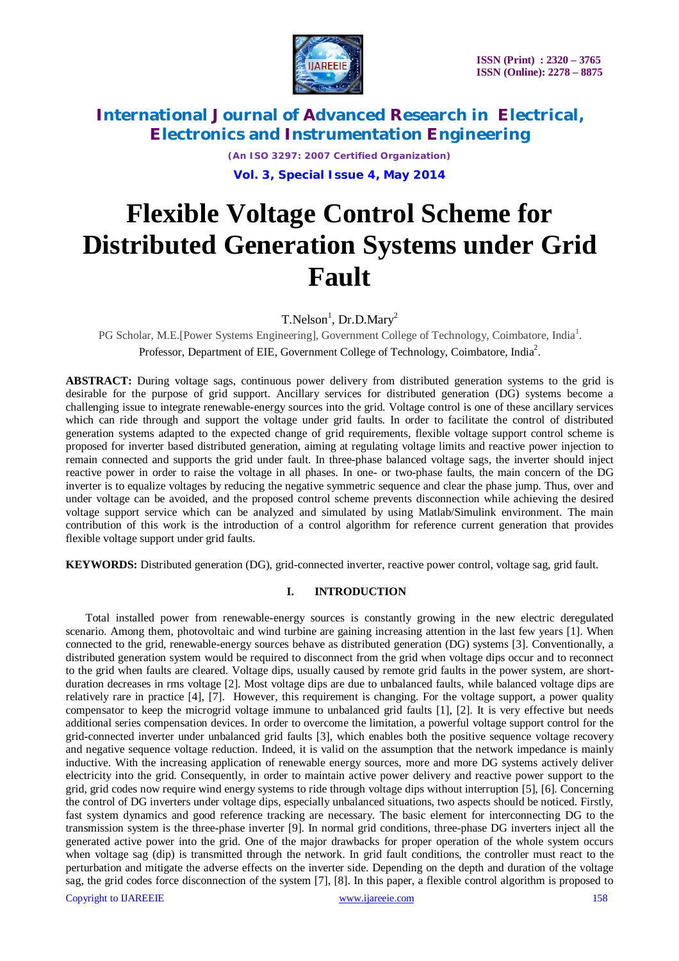

> *(An ISO 3297: 2007 Certified Organization)* **Vol. 3, Special Issue 4, May 2014**

# **Flexible Voltage Control Scheme for Distributed Generation Systems under Grid Fault**

 $T.Nelson<sup>1</sup>$ , Dr.D.Mary<sup>2</sup>

PG Scholar, M.E.[Power Systems Engineering], Government College of Technology, Coimbatore, India<sup>1</sup>. Professor, Department of EIE, Government College of Technology, Coimbatore, India<sup>2</sup>.

**ABSTRACT:** During voltage sags, continuous power delivery from distributed generation systems to the grid is desirable for the purpose of grid support. Ancillary services for distributed generation (DG) systems become a challenging issue to integrate renewable-energy sources into the grid. Voltage control is one of these ancillary services which can ride through and support the voltage under grid faults. In order to facilitate the control of distributed generation systems adapted to the expected change of grid requirements, flexible voltage support control scheme is proposed for inverter based distributed generation, aiming at regulating voltage limits and reactive power injection to remain connected and supports the grid under fault. In three-phase balanced voltage sags, the inverter should inject reactive power in order to raise the voltage in all phases. In one- or two-phase faults, the main concern of the DG inverter is to equalize voltages by reducing the negative symmetric sequence and clear the phase jump. Thus, over and under voltage can be avoided, and the proposed control scheme prevents disconnection while achieving the desired voltage support service which can be analyzed and simulated by using Matlab/Simulink environment. The main contribution of this work is the introduction of a control algorithm for reference current generation that provides flexible voltage support under grid faults.

**KEYWORDS:** Distributed generation (DG), grid-connected inverter, reactive power control, voltage sag, grid fault.

#### **I. INTRODUCTION**

 Total installed power from renewable-energy sources is constantly growing in the new electric deregulated scenario. Among them, photovoltaic and wind turbine are gaining increasing attention in the last few years [1]. When connected to the grid, renewable-energy sources behave as distributed generation (DG) systems [3]. Conventionally, a distributed generation system would be required to disconnect from the grid when voltage dips occur and to reconnect to the grid when faults are cleared. Voltage dips, usually caused by remote grid faults in the power system, are shortduration decreases in rms voltage [2]. Most voltage dips are due to unbalanced faults, while balanced voltage dips are relatively rare in practice [4], [7]. However, this requirement is changing. For the voltage support, a power quality compensator to keep the microgrid voltage immune to unbalanced grid faults [1], [2]. It is very effective but needs additional series compensation devices. In order to overcome the limitation, a powerful voltage support control for the grid-connected inverter under unbalanced grid faults [3], which enables both the positive sequence voltage recovery and negative sequence voltage reduction. Indeed, it is valid on the assumption that the network impedance is mainly inductive. With the increasing application of renewable energy sources, more and more DG systems actively deliver electricity into the grid. Consequently, in order to maintain active power delivery and reactive power support to the grid, grid codes now require wind energy systems to ride through voltage dips without interruption [5], [6]. Concerning the control of DG inverters under voltage dips, especially unbalanced situations, two aspects should be noticed. Firstly, fast system dynamics and good reference tracking are necessary. The basic element for interconnecting DG to the transmission system is the three-phase inverter [9]. In normal grid conditions, three-phase DG inverters inject all the generated active power into the grid. One of the major drawbacks for proper operation of the whole system occurs when voltage sag (dip) is transmitted through the network. In grid fault conditions, the controller must react to the perturbation and mitigate the adverse effects on the inverter side. Depending on the depth and duration of the voltage sag, the grid codes force disconnection of the system [7], [8]. In this paper, a flexible control algorithm is proposed to

Copyright to IJAREEIE www.ijareeie.com 158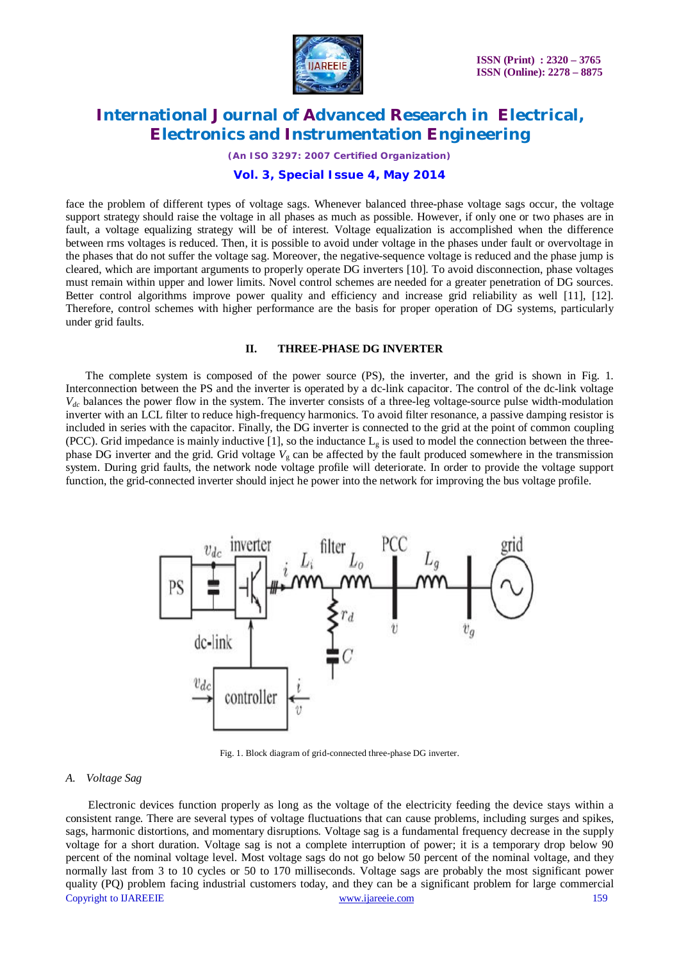

*(An ISO 3297: 2007 Certified Organization)*

#### **Vol. 3, Special Issue 4, May 2014**

face the problem of different types of voltage sags. Whenever balanced three-phase voltage sags occur, the voltage support strategy should raise the voltage in all phases as much as possible. However, if only one or two phases are in fault, a voltage equalizing strategy will be of interest. Voltage equalization is accomplished when the difference between rms voltages is reduced. Then, it is possible to avoid under voltage in the phases under fault or overvoltage in the phases that do not suffer the voltage sag. Moreover, the negative-sequence voltage is reduced and the phase jump is cleared, which are important arguments to properly operate DG inverters [10]. To avoid disconnection, phase voltages must remain within upper and lower limits. Novel control schemes are needed for a greater penetration of DG sources. Better control algorithms improve power quality and efficiency and increase grid reliability as well [11], [12]. Therefore, control schemes with higher performance are the basis for proper operation of DG systems, particularly under grid faults.

#### **II. THREE-PHASE DG INVERTER**

 The complete system is composed of the power source (PS), the inverter, and the grid is shown in Fig. 1. Interconnection between the PS and the inverter is operated by a dc-link capacitor. The control of the dc-link voltage  $V_{dc}$  balances the power flow in the system. The inverter consists of a three-leg voltage-source pulse width-modulation inverter with an LCL filter to reduce high-frequency harmonics. To avoid filter resonance, a passive damping resistor is included in series with the capacitor. Finally, the DG inverter is connected to the grid at the point of common coupling (PCC). Grid impedance is mainly inductive [1], so the inductance  $L_g$  is used to model the connection between the threephase DG inverter and the grid. Grid voltage  $V<sub>g</sub>$  can be affected by the fault produced somewhere in the transmission system. During grid faults, the network node voltage profile will deteriorate. In order to provide the voltage support function, the grid-connected inverter should inject he power into the network for improving the bus voltage profile.



Fig. 1. Block diagram of grid-connected three-phase DG inverter.

#### *A. Voltage Sag*

Copyright to IJAREEIE www.ijareeie.com 159 Electronic devices function properly as long as the voltage of the electricity feeding the device stays within a consistent range. There are several types of voltage fluctuations that can cause problems, including surges and spikes, sags, harmonic distortions, and momentary disruptions. Voltage sag is a fundamental frequency decrease in the supply voltage for a short duration. Voltage sag is not a complete interruption of power; it is a temporary drop below 90 percent of the nominal voltage level. Most voltage sags do not go below 50 percent of the nominal voltage, and they normally last from 3 to 10 cycles or 50 to 170 milliseconds. Voltage sags are probably the most significant power quality (PQ) problem facing industrial customers today, and they can be a significant problem for large commercial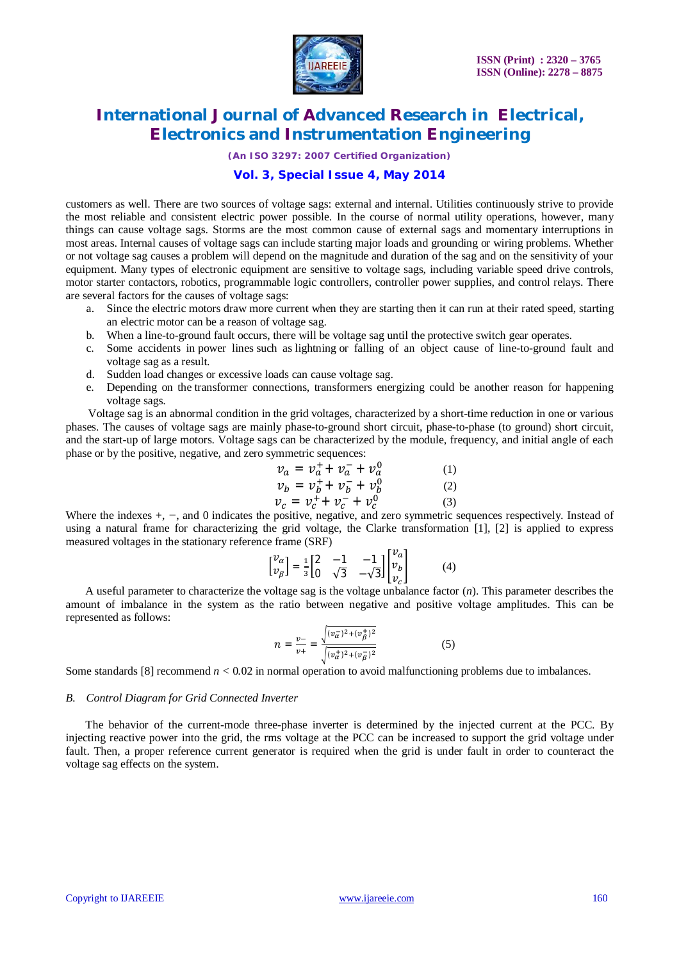

*(An ISO 3297: 2007 Certified Organization)*

#### **Vol. 3, Special Issue 4, May 2014**

customers as well. There are two sources of voltage sags: external and internal. Utilities continuously strive to provide the most reliable and consistent electric power possible. In the course of normal utility operations, however, many things can cause voltage sags. Storms are the most common cause of external sags and momentary interruptions in most areas. Internal causes of voltage sags can include starting major loads and grounding or wiring problems. Whether or not voltage sag causes a problem will depend on the magnitude and duration of the sag and on the sensitivity of your equipment. Many types of electronic equipment are sensitive to voltage sags, including variable speed drive controls, motor starter contactors, robotics, programmable logic controllers, controller power supplies, and control relays. There are several factors for the causes of voltage sags:

- a. Since the electric motors draw more current when they are starting then it can run at their rated speed, starting an electric motor can be a reason of voltage sag.
- b. When a line-to-ground fault occurs, there will be voltage sag until the protective switch gear operates.
- c. Some accidents in power lines such as lightning or falling of an object cause of line-to-ground fault and voltage sag as a result.
- d. Sudden load changes or excessive loads can cause voltage sag.
- e. Depending on the transformer connections, transformers energizing could be another reason for happening voltage sags.

 Voltage sag is an abnormal condition in the grid voltages, characterized by a short-time reduction in one or various phases. The causes of voltage sags are mainly phase-to-ground short circuit, phase-to-phase (to ground) short circuit, and the start-up of large motors. Voltage sags can be characterized by the module, frequency, and initial angle of each phase or by the positive, negative, and zero symmetric sequences:

$$
v_a = v_a^+ + v_a^- + v_a^0 \tag{1}
$$

$$
\nu_b = \nu_b^+ + \nu_b^- + \nu_b^0 \tag{2}
$$

$$
\nu_c = \nu_c^+ + \nu_c^- + \nu_c^0 \tag{3}
$$

Where the indexes +, *−*, and 0 indicates the positive, negative, and zero symmetric sequences respectively. Instead of using a natural frame for characterizing the grid voltage, the Clarke transformation [1], [2] is applied to express measured voltages in the stationary reference frame (SRF)

$$
\begin{bmatrix} v_{\alpha} \\ v_{\beta} \end{bmatrix} = \frac{1}{3} \begin{bmatrix} 2 & -1 & -1 \\ 0 & \sqrt{3} & -\sqrt{3} \end{bmatrix} \begin{bmatrix} v_{a} \\ v_{b} \\ v_{c} \end{bmatrix}
$$
 (4)

 A useful parameter to characterize the voltage sag is the voltage unbalance factor (*n*). This parameter describes the amount of imbalance in the system as the ratio between negative and positive voltage amplitudes. This can be represented as follows:

$$
n = \frac{v_{-}}{v_{+}} = \frac{\sqrt{(v_{\alpha}^{-})^2 + (v_{\beta}^{+})^2}}{\sqrt{(v_{\alpha}^{+})^2 + (v_{\beta}^{-})^2}}
$$
(5)

Some standards [8] recommend  $n < 0.02$  in normal operation to avoid malfunctioning problems due to imbalances.

#### *B. Control Diagram for Grid Connected Inverter*

 The behavior of the current-mode three-phase inverter is determined by the injected current at the PCC. By injecting reactive power into the grid, the rms voltage at the PCC can be increased to support the grid voltage under fault. Then, a proper reference current generator is required when the grid is under fault in order to counteract the voltage sag effects on the system.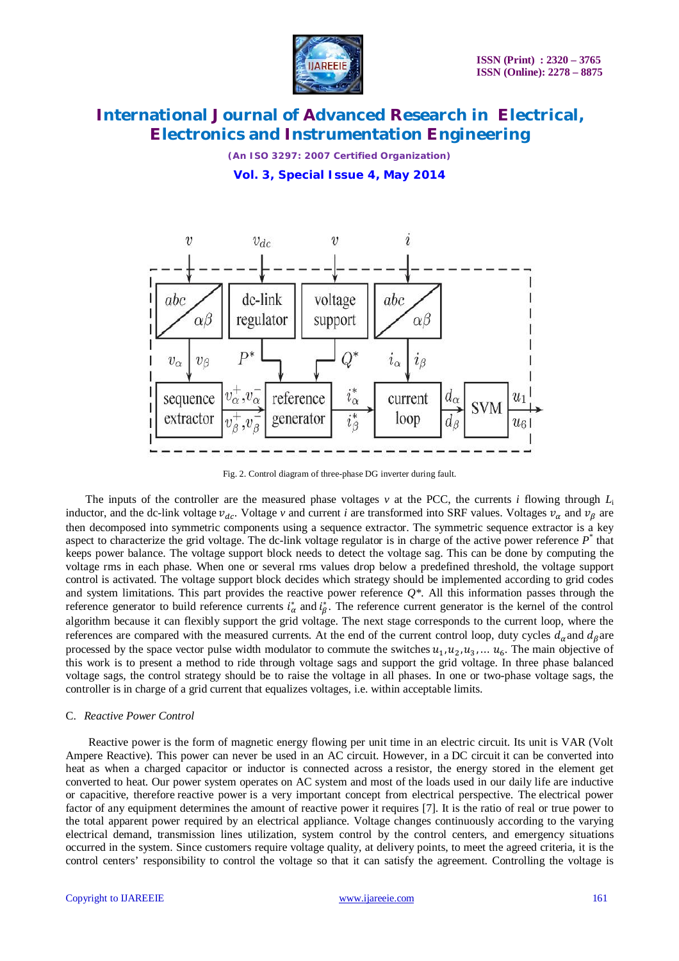

*(An ISO 3297: 2007 Certified Organization)* **Vol. 3, Special Issue 4, May 2014**



Fig. 2. Control diagram of three-phase DG inverter during fault.

The inputs of the controller are the measured phase voltages  $v$  at the PCC, the currents *i* flowing through  $L_i$ inductor, and the dc-link voltage  $v_{dc}$ . Voltage *v* and current *i* are transformed into SRF values. Voltages  $v_a$  and  $v_b$  are then decomposed into symmetric components using a sequence extractor. The symmetric sequence extractor is a key aspect to characterize the grid voltage. The dc-link voltage regulator is in charge of the active power reference  $P^*$  that keeps power balance. The voltage support block needs to detect the voltage sag. This can be done by computing the voltage rms in each phase. When one or several rms values drop below a predefined threshold, the voltage support control is activated. The voltage support block decides which strategy should be implemented according to grid codes and system limitations. This part provides the reactive power reference *Q\*.* All this information passes through the reference generator to build reference currents  $i^*_{\alpha}$  and  $i^*_{\beta}$ . The reference current generator is the kernel of the control algorithm because it can flexibly support the grid voltage. The next stage corresponds to the current loop, where the references are compared with the measured currents. At the end of the current control loop, duty cycles  $d_{\alpha}$  and  $d_{\beta}$  are processed by the space vector pulse width modulator to commute the switches  $u_1, u_2, u_3, \dots u_6$ . The main objective of this work is to present a method to ride through voltage sags and support the grid voltage. In three phase balanced voltage sags, the control strategy should be to raise the voltage in all phases. In one or two-phase voltage sags, the controller is in charge of a grid current that equalizes voltages, i.e. within acceptable limits.

#### C. *Reactive Power Control*

 Reactive power is the form of magnetic energy flowing per unit time in an electric circuit. Its unit is VAR (Volt Ampere Reactive). This power can never be used in an AC circuit. However, in a DC circuit it can be converted into heat as when a charged capacitor or inductor is connected across a resistor, the energy stored in the element get converted to heat. Our power system operates on AC system and most of the loads used in our daily life are inductive or capacitive, therefore reactive power is a very important concept from electrical perspective. The electrical power factor of any equipment determines the amount of reactive power it requires [7]. It is the ratio of real or true power to the total apparent power required by an electrical appliance. Voltage changes continuously according to the varying electrical demand, transmission lines utilization, system control by the control centers, and emergency situations occurred in the system. Since customers require voltage quality, at delivery points, to meet the agreed criteria, it is the control centers' responsibility to control the voltage so that it can satisfy the agreement. Controlling the voltage is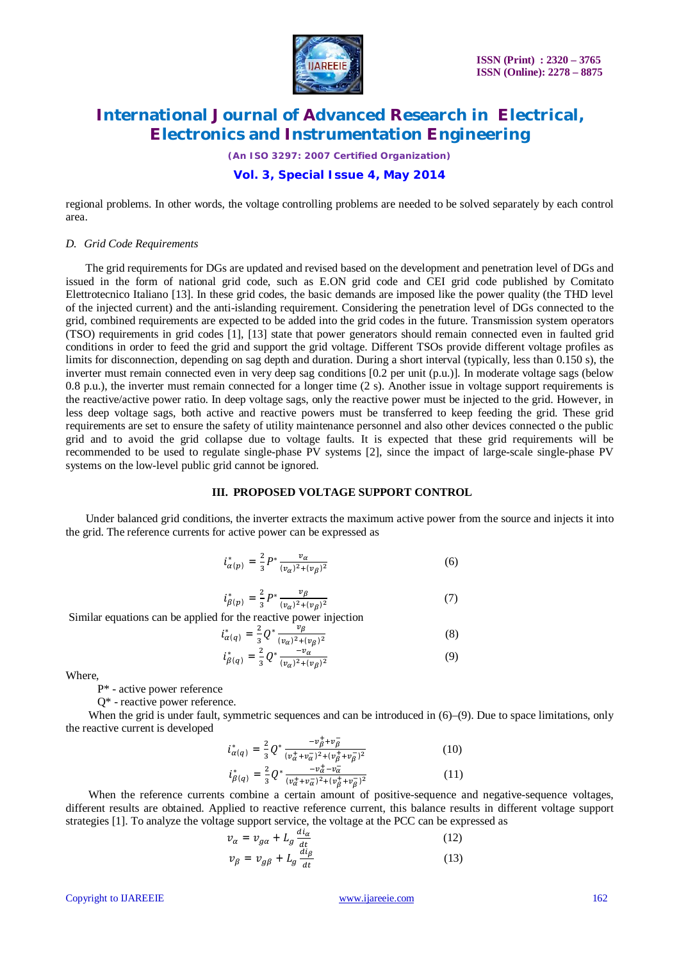

*(An ISO 3297: 2007 Certified Organization)*

#### **Vol. 3, Special Issue 4, May 2014**

regional problems. In other words, the voltage controlling problems are needed to be solved separately by each control area.

#### *D. Grid Code Requirements*

 The grid requirements for DGs are updated and revised based on the development and penetration level of DGs and issued in the form of national grid code, such as E.ON grid code and CEI grid code published by Comitato Elettrotecnico Italiano [13]. In these grid codes, the basic demands are imposed like the power quality (the THD level of the injected current) and the anti-islanding requirement. Considering the penetration level of DGs connected to the grid, combined requirements are expected to be added into the grid codes in the future. Transmission system operators (TSO) requirements in grid codes [1], [13] state that power generators should remain connected even in faulted grid conditions in order to feed the grid and support the grid voltage. Different TSOs provide different voltage profiles as limits for disconnection, depending on sag depth and duration. During a short interval (typically, less than 0.150 s), the inverter must remain connected even in very deep sag conditions [0.2 per unit (p.u.)]. In moderate voltage sags (below 0.8 p.u.), the inverter must remain connected for a longer time (2 s). Another issue in voltage support requirements is the reactive/active power ratio. In deep voltage sags, only the reactive power must be injected to the grid. However, in less deep voltage sags, both active and reactive powers must be transferred to keep feeding the grid. These grid requirements are set to ensure the safety of utility maintenance personnel and also other devices connected o the public grid and to avoid the grid collapse due to voltage faults. It is expected that these grid requirements will be recommended to be used to regulate single-phase PV systems [2], since the impact of large-scale single-phase PV systems on the low-level public grid cannot be ignored.

#### **III. PROPOSED VOLTAGE SUPPORT CONTROL**

 Under balanced grid conditions, the inverter extracts the maximum active power from the source and injects it into the grid. The reference currents for active power can be expressed as

$$
i_{\alpha(p)}^* = \frac{2}{3} P^* \frac{v_{\alpha}}{(v_{\alpha})^2 + (v_{\beta})^2} \tag{6}
$$

$$
i_{\beta(p)}^* = \frac{2}{3} P^* \frac{v_{\beta}}{(v_{\alpha})^2 + (v_{\beta})^2}
$$
 (7)

Similar equations can be applied for the reactive power injection

$$
i_{\alpha(q)}^{*} = \frac{2}{3} Q^{*} \frac{v_{\beta}}{(v_{\alpha})^{2} + (v_{\beta})^{2}}
$$
\n
$$
i_{\beta(q)}^{*} = \frac{2}{3} Q^{*} \frac{-v_{\alpha}}{(v_{\alpha})^{2} + (v_{\beta})^{2}}
$$
\n(8)\n(9)

Where,

P\* - active power reference

Q\* - reactive power reference.

When the grid is under fault, symmetric sequences and can be introduced in (6)–(9). Due to space limitations, only the reactive current is developed

$$
i_{\alpha(q)}^* = \frac{2}{3} Q^* \frac{-v_{\beta}^+ + v_{\beta}^-}{(v_{\alpha}^+ + v_{\alpha}^-)^2 + (v_{\beta}^+ + v_{\beta}^-)^2}
$$
(10)

$$
i_{\beta(q)}^* = \frac{2}{3} Q^* \frac{-v_a^+ - v_a^-}{(v_a^+ + v_a^-)^2 + (v_\beta^+ + v_\beta^-)^2}
$$
(11)

When the reference currents combine a certain amount of positive-sequence and negative-sequence voltages, different results are obtained. Applied to reactive reference current, this balance results in different voltage support strategies [1]. To analyze the voltage support service, the voltage at the PCC can be expressed as

$$
\begin{aligned}\n v_{\alpha} &= v_{g\alpha} + L_g \frac{di_{\alpha}}{dt} \\
v_{\beta} &= v_{g\beta} + L_g \frac{di_{\beta}}{dt}\n \end{aligned}\n \tag{12}
$$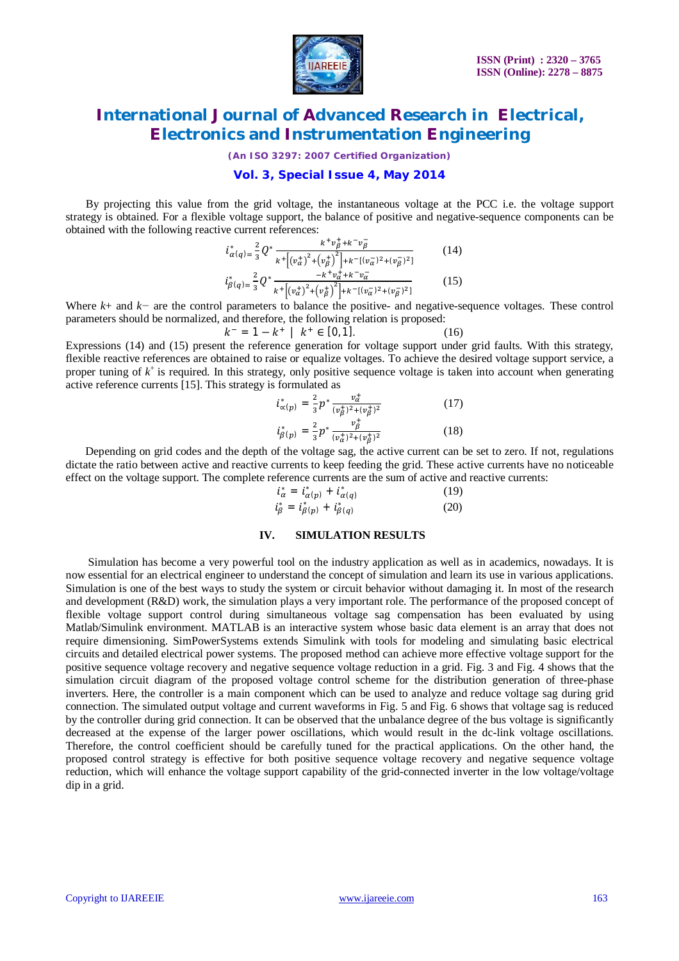

*(An ISO 3297: 2007 Certified Organization)*

#### **Vol. 3, Special Issue 4, May 2014**

 By projecting this value from the grid voltage, the instantaneous voltage at the PCC i.e. the voltage support strategy is obtained. For a flexible voltage support, the balance of positive and negative-sequence components can be obtained with the following reactive current references:

$$
i_{\alpha(q)}^{*} = \frac{2}{3} Q^{*} \frac{k^{+} v_{\beta}^{+} + k^{-} v_{\beta}^{-}}{k^{+} \left[ (v_{\alpha}^{+})^{2} + (v_{\beta}^{+})^{2} \right] + k^{-} \left[ (v_{\alpha}^{-})^{2} + (v_{\beta}^{-})^{2} \right]}
$$
(14)  

$$
i_{\beta(q)}^{*} = \frac{2}{3} Q^{*} \frac{-k^{+} v_{\alpha}^{+} + k^{-} v_{\alpha}^{-}}{k^{+} \left[ (v_{\alpha}^{+})^{2} + (v_{\beta}^{+})^{2} \right] + k^{-} \left[ (v_{\alpha}^{-})^{2} + (v_{\beta}^{-})^{2} \right]}
$$
(15)

Where *k*+ and *k−* are the control parameters to balance the positive- and negative-sequence voltages. These control parameters should be normalized, and therefore, the following relation is proposed:

$$
k^- = 1 - k^+ \mid k^+ \in [0, 1]. \tag{16}
$$

Expressions (14) and (15) present the reference generation for voltage support under grid faults. With this strategy, flexible reactive references are obtained to raise or equalize voltages. To achieve the desired voltage support service, a proper tuning of  $k^+$  is required. In this strategy, only positive sequence voltage is taken into account when generating active reference currents [15]. This strategy is formulated as

$$
i_{\alpha(p)}^* = \frac{2}{3} p^* \frac{v_a^+}{(v_\beta^+)^2 + (v_\beta^+)^2}
$$
 (17)

$$
i_{\beta(p)}^* = \frac{2}{3} p^* \frac{v_{\beta}}{(v_{\alpha}^+)^2 + (v_{\beta}^+)^2}
$$
 (18)

 Depending on grid codes and the depth of the voltage sag, the active current can be set to zero. If not, regulations dictate the ratio between active and reactive currents to keep feeding the grid. These active currents have no noticeable effect on the voltage support. The complete reference currents are the sum of active and reactive currents:

$$
i_{\alpha}^{*} = i_{\alpha(p)}^{*} + i_{\alpha(q)}^{*}
$$
 (19)  

$$
i_{\beta}^{*} = i_{\beta(p)}^{*} + i_{\beta(q)}^{*}
$$
 (20)

#### **IV. SIMULATION RESULTS**

 Simulation has become a very powerful tool on the industry application as well as in academics, nowadays. It is now essential for an electrical engineer to understand the concept of simulation and learn its use in various applications. Simulation is one of the best ways to study the system or circuit behavior without damaging it. In most of the research and development (R&D) work, the simulation plays a very important role. The performance of the proposed concept of flexible voltage support control during simultaneous voltage sag compensation has been evaluated by using Matlab/Simulink environment. MATLAB is an interactive system whose basic data element is an array that does not require dimensioning. SimPowerSystems extends Simulink with tools for modeling and simulating basic electrical circuits and detailed electrical power systems. The proposed method can achieve more effective voltage support for the positive sequence voltage recovery and negative sequence voltage reduction in a grid. Fig. 3 and Fig. 4 shows that the simulation circuit diagram of the proposed voltage control scheme for the distribution generation of three-phase inverters. Here, the controller is a main component which can be used to analyze and reduce voltage sag during grid connection. The simulated output voltage and current waveforms in Fig. 5 and Fig. 6 shows that voltage sag is reduced by the controller during grid connection. It can be observed that the unbalance degree of the bus voltage is significantly decreased at the expense of the larger power oscillations, which would result in the dc-link voltage oscillations. Therefore, the control coefficient should be carefully tuned for the practical applications. On the other hand, the proposed control strategy is effective for both positive sequence voltage recovery and negative sequence voltage reduction, which will enhance the voltage support capability of the grid-connected inverter in the low voltage/voltage dip in a grid.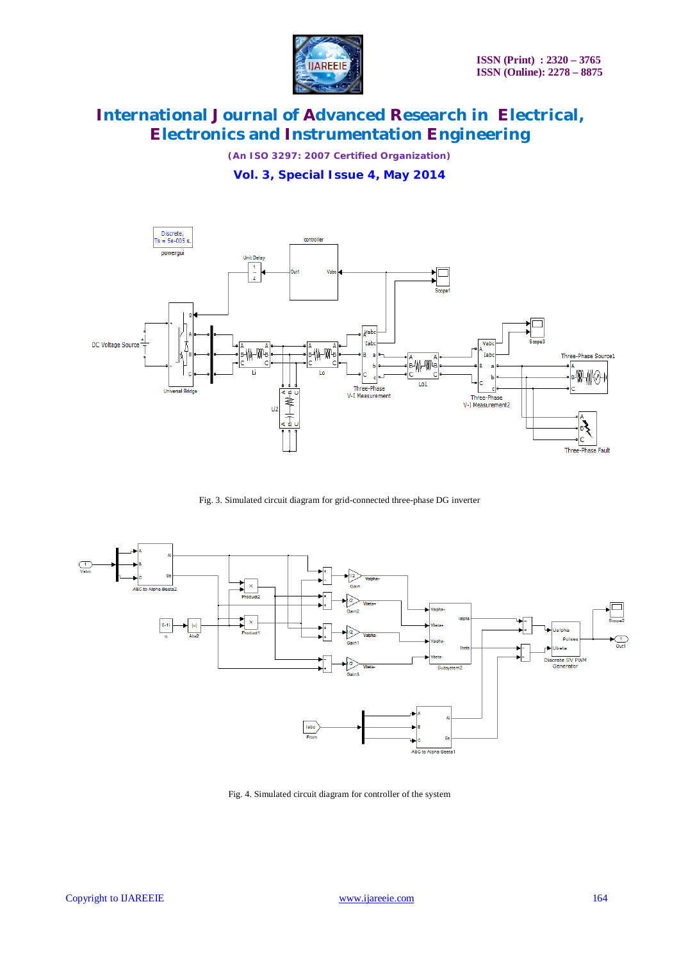

*(An ISO 3297: 2007 Certified Organization)*

**Vol. 3, Special Issue 4, May 2014**



Fig. 3. Simulated circuit diagram for grid-connected three-phase DG inverter



Fig. 4. Simulated circuit diagram for controller of the system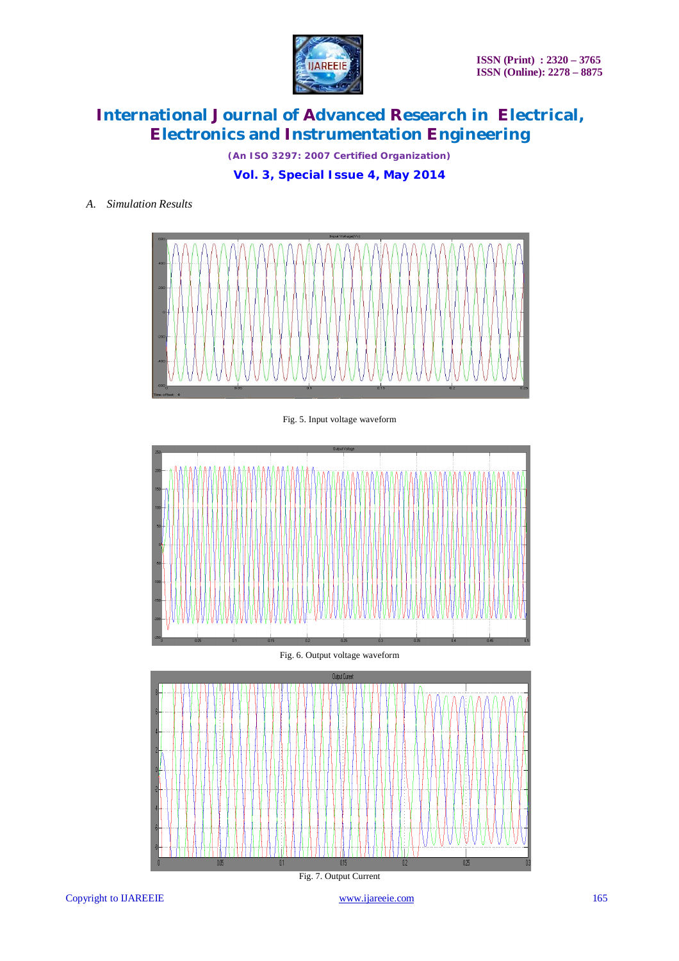

*(An ISO 3297: 2007 Certified Organization)*

**Vol. 3, Special Issue 4, May 2014**

#### *A. Simulation Results*



Fig. 5. Input voltage waveform



Fig. 6. Output voltage waveform



Copyright to IJAREEIE www.ijareeie.com 165